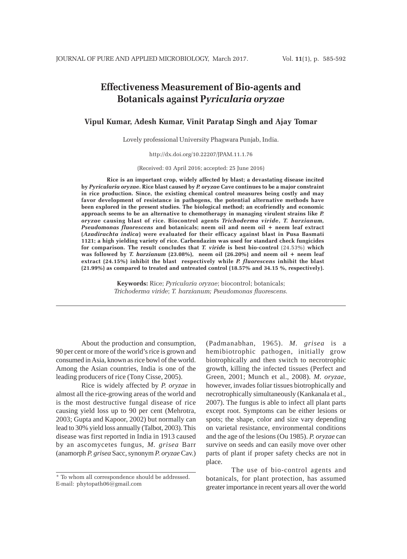# **Effectiveness Measurement of Bio-agents and Botanicals against P***yricularia oryzae*

**Vipul Kumar, Adesh Kumar, Vinit Paratap Singh and Ajay Tomar**

Lovely professional University Phagwara Punjab, India.

http://dx.doi.org/10.22207/JPAM.11.1.76

(Received: 03 April 2016; accepted: 25 June 2016)

**Rice is an important crop, widely affected by blast; a devastating disease incited by** *Pyricularia oryzae***. Rice blast caused by** *P. oryzae* **Cave continues to be a major constraint in rice production. Since, the existing chemical control measures being costly and may favor development of resistance in pathogens, the potential alternative methods have been explored in the present studies. The biological method; an ecofriendly and economic approach seems to be an alternative to chemotherapy in managing virulent strains like** *P. oryzae* **causing blast of rice. Biocontrol agents** *Trichoderma viride***,** *T. harzianum, Pseudomonas fluorescens* **and botanicals; neem oil and neem oil + neem leaf extract (***Azadirachta indica***) were evaluated for their efficacy against blast in Pusa Basmati 1121; a high yielding variety of rice. Carbendazim was used for standard check fungicides for comparison. The result concludes that** *T. viride* **is best bio-control** (24.53%) **which was followed by** *T. harzianum* **(23.08%), neem oil (26.20%) and neem oil + neem leaf extract (24.15%) inhibit the blast respectively while** *P. fluorescens* **inhibit the blast (21.99%) as compared to treated and untreated control (18.57% and 34.15 %, respectively).**

> **Keywords:** Rice; *Pyricularia oryzae*; biocontrol; botanicals; *Trichoderma viride*; *T. harzianum; Pseudomonas fluorescens.*

About the production and consumption, 90 per cent or more of the world's rice is grown and consumed in Asia, known as rice bowl of the world. Among the Asian countries, India is one of the leading producers of rice (Tony Cisse, 2005).

Rice is widely affected by *P. oryzae* in almost all the rice-growing areas of the world and is the most destructive fungal disease of rice causing yield loss up to 90 per cent (Mehrotra, 2003; Gupta and Kapoor, 2002) but normally can lead to 30% yield loss annually (Talbot, 2003). This disease was first reported in India in 1913 caused by an ascomycetes fungus, *M. grisea* Barr (anamorph *P. grisea* Sacc, synonym *P. oryzae* Cav.)

(Padmanabhan, 1965). *M. grisea* is a hemibiotrophic pathogen, initially grow biotrophically and then switch to necrotrophic growth, killing the infected tissues (Perfect and Green, 2001; Munch et al., 2008). *M. oryzae*, however, invades foliar tissues biotrophically and necrotrophically simultaneously (Kankanala et al., 2007). The fungus is able to infect all plant parts except root. Symptoms can be either lesions or spots; the shape, color and size vary depending on varietal resistance, environmental conditions and the age of the lesions (Ou 1985). *P. oryzae* can survive on seeds and can easily move over other parts of plant if proper safety checks are not in place.

The use of bio-control agents and botanicals, for plant protection, has assumed greater importance in recent years all over the world

<sup>\*</sup> To whom all correspondence should be addressed. E-mail: phytopath06@gmail.com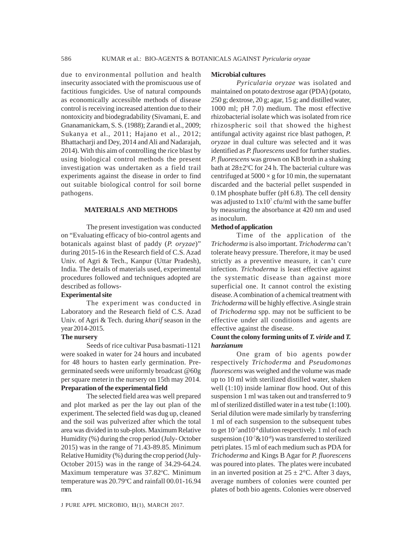due to environmental pollution and health insecurity associated with the promiscuous use of factitious fungicides. Use of natural compounds as economically accessible methods of disease control is receiving increased attention due to their nontoxicity and biodegradability (Sivamani, E. and Gnanamanickam, S. S. (1988); Zarandi et al., 2009; Sukanya et al., 2011; Hajano et al., 2012; Bhattacharji and Dey, 2014 and Ali and Nadarajah, 2014). With this aim of controlling the rice blast by using biological control methods the present investigation was undertaken as a field trail experiments against the disease in order to find out suitable biological control for soil borne pathogens.

## **MATERIALS AND METHODS**

The present investigation was conducted on "Evaluating efficacy of bio-control agents and botanicals against blast of paddy (*P. oryzae*)" during 2015-16 in the Research field of C.S. Azad Univ. of Agri & Tech., Kanpur (Uttar Pradesh), India. The details of materials used, experimental procedures followed and techniques adopted are described as follows-

#### **Experimental site**

The experiment was conducted in Laboratory and the Research field of C.S. Azad Univ. of Agri & Tech. during *kharif* season in the year 2014-2015.

#### **The nursery**

Seeds of rice cultivar Pusa basmati-1121 were soaked in water for 24 hours and incubated for 48 hours to hasten early germination. Pregerminated seeds were uniformly broadcast @60g per square meterin the nursery on 15th may 2014. **Preparation of the experimental field**

The selected field area was well prepared and plot marked as per the lay out plan of the experiment. The selected field was dug up, cleaned and the soil was pulverized after which the total area was divided in to sub-plots. Maximum Relative Humidity (%) during the crop period (July- October 2015) was in the range of 71.43-89.85. Minimum Relative Humidity (%) during the crop period (July-October 2015) was in the range of 34.29-64.24. Maximum temperature was 37.82°C. Minimum temperature was  $20.79^{\circ}$ C and rainfall  $00.01$ -16.94 mm.

J PURE APPL MICROBIO*,* **11**(1), MARCH 2017.

#### **Microbial cultures**

*Pyricularia oryzae* was isolated and maintained on potato dextrose agar (PDA) (potato, 250 g; dextrose, 20 g; agar, 15 g; and distilled water, 1000 ml; pH 7.0) medium. The most effective rhizobacterial isolate which was isolated from rice rhizospheric soil that showed the highest antifungal activity against rice blast pathogen, *P. oryzae* in dual culture was selected and it was identified as *P. fluorescens* used for further studies. *P. fluorescens* was grown on KB broth in a shaking bath at  $28 \pm 2^{\circ}$ C for 24 h. The bacterial culture was centrifuged at  $5000 \times g$  for 10 min, the supernatant discarded and the bacterial pellet suspended in 0.1M phosphate buffer (pH 6.8). The cell density was adjusted to  $1x10^7$  cfu/ml with the same buffer by measuring the absorbance at 420 nm and used as inoculum.

#### **Method of application**

Time of the application of the *Trichoderma* is also important. *Trichoderma* can't tolerate heavy pressure. Therefore, it may be used strictly as a preventive measure, it can't cure infection. *Trichoderma* is least effective against the systematic disease than against more superficial one. It cannot control the existing disease. A combination of a chemical treatment with *Trichoderma* will be highly effective. A single strain of *Trichoderma* spp. may not be sufficient to be effective under all conditions and agents are effective against the disease.

# **Count the colony forming units of** *T. viride* **and** *T. harzianum*

One gram of bio agents powder respectively *Trichoderma* and *Pseudomonas fluorescens* was weighed and the volume was made up to 10 ml with sterilized distilled water, shaken well (1:10) inside laminar flow hood. Out of this suspension 1 ml was taken out and transferred to 9 ml of sterilized distilled water in a test tube (1:100). Serial dilution were made similarly by transferring 1 ml of each suspension to the subsequent tubes to get 10<sup>-7</sup>and10<sup>-8</sup> dilution respectively. 1 ml of each suspension ( $10^{-7}$ & $10^{-8}$ ) was transferred to sterilized petri plates. 15 ml of each medium such as PDA for *Trichoderma* and Kings B Agar for *P. fluorescens* was poured into plates. The plates were incubated in an inverted position at  $25 \pm 2$ °C. After 3 days, average numbers of colonies were counted per plates of both bio agents. Colonies were observed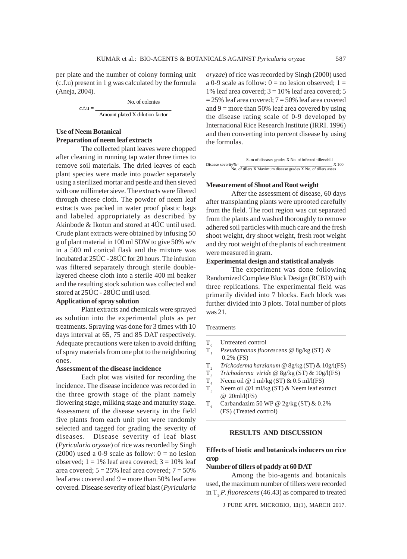per plate and the number of colony forming unit (c.f.u) present in 1 g was calculated by the formula (Aneja, 2004).

$$
c.f.u = \frac{No. of colonies}{Amount plated X dilution factor}
$$

# **Use of Neem Botanical Preparation of neem leaf extracts**

The collected plant leaves were chopped after cleaning in running tap water three times to remove soil materials. The dried leaves of each plant species were made into powder separately using a sterilized mortar and pestle and then sieved with one millimeter sieve. The extracts were filtered through cheese cloth. The powder of neem leaf extracts was packed in water proof plastic bags and labeled appropriately as described by Akinbode & Ikotun and stored at 4ÚC until used. Crude plant extracts were obtained by infusing 50 g of plant material in 100 ml SDW to give 50% w/v in a 500 ml conical flask and the mixture was incubated at 25ÚC - 28ÚC for 20 hours. The infusion was filtered separately through sterile doublelayered cheese cloth into a sterile 400 ml beaker and the resulting stock solution was collected and stored at 25ÚC - 28ÚC until used.

# **Application of spray solution**

Plant extracts and chemicals were sprayed as solution into the experimental plots as per treatments. Spraying was done for 3 times with 10 days interval at 65, 75 and 85 DAT respectively. Adequate precautions were taken to avoid drifting of spray materials from one plot to the neighboring ones.

#### **Assessment of the disease incidence**

Each plot was visited for recording the incidence. The disease incidence was recorded in the three growth stage of the plant namely flowering stage, milking stage and maturity stage. Assessment of the disease severity in the field five plants from each unit plot were randomly selected and tagged for grading the severity of diseases. Disease severity of leaf blast (*Pyricularia oryzae*) of rice was recorded by Singh (2000) used a 0-9 scale as follow:  $0 =$  no lesion observed;  $1 = 1\%$  leaf area covered;  $3 = 10\%$  leaf area covered;  $5 = 25\%$  leaf area covered;  $7 = 50\%$ leaf area covered and  $9 =$  more than 50% leaf area covered. Disease severity of leaf blast (*Pyricularia* *oryzae*) of rice was recorded by Singh (2000) used a 0-9 scale as follow:  $0 =$  no lesion observed;  $1 =$ 1% leaf area covered;  $3 = 10%$  leaf area covered; 5  $= 25\%$  leaf area covered;  $7 = 50\%$  leaf area covered and  $9 =$  more than 50% leaf area covered by using the disease rating scale of 0-9 developed by International Rice Research Institute (IRRI. 1996) and then converting into percent disease by using the formulas.

|                       | Sum of diseases grades X No. of infected tillers/hill          |       |  |  |  |  |
|-----------------------|----------------------------------------------------------------|-------|--|--|--|--|
| Disease severity% $=$ |                                                                | X 100 |  |  |  |  |
|                       | No. of tillers X Maximum disease grades X No. of tillers asses |       |  |  |  |  |

#### **Measurement of Shoot and Root weight**

After the assessment of disease, 60 days after transplanting plants were uprooted carefully from the field. The root region was cut separated from the plants and washed thoroughly to remove adhered soil particles with much care and the fresh shoot weight, dry shoot weight, fresh root weight and dry root weight of the plants of each treatment were measured in gram.

# **Experimental design and statistical analysis**

The experiment was done following Randomized Complete Block Design (RCBD) with three replications. The experimental field was primarily divided into 7 blocks. Each block was further divided into 3 plots. Total number of plots was 21.

#### **Treatments**

- 
- $T_0$  Untreated control<br> $T_1$  *Pseudomonas fluo* T1 *Pseudomonas fluorescens* @ 8g/kg (ST) *&* 0.2% (FS)
- T2 *Trichoderma harzianum* @ 8g/kg (ST) & 10g/l(FS)
- $T_3^2$  *Trichoderma viride* @ 8g/kg (ST) & 10g/l(FS)<br> $T_4$  Neem oil @ 1 ml/kg (ST) & 0.5 ml/l(FS)
- 
- $T_4$  Neem oil @ 1 ml/kg (ST) & 0.5 ml/l(FS)<br>T. Neem oil @ 1 ml/kg (ST) & Neem leaf ex Neem oil @1 ml/kg (ST) & Neem leaf extract @ 20ml/l(FS)
- T<sub>6</sub> Carbandazim 50 WP @ 2g/kg (ST) & 0.2% (FS) (Treated control)

#### **RESULTS AND DISCUSSION**

# **Effects of biotic and botanicals inducers on rice crop**

#### **Number of tillers of paddy at 60 DAT**

Among the bio-agents and botanicals used, the maximum number of tillers were recorded in T<sub>, P.</sub>*fluorescens* (46.43) as compared to treated

J PURE APPL MICROBIO*,* **11**(1), MARCH 2017.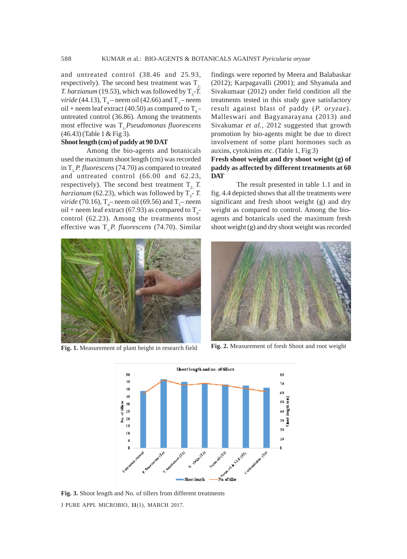and untreated control (38.46 and 25.93, respectively). The second best treatment was  $T<sub>2</sub>$ *T. harzianum* (19.53), which was followed by  $T_3$ -*T. viride* (44.13),  $T_4$  – neem oil (42.66) and  $T_5$  – neem oil + neem leaf extract (40.50) as compared to  $T_0$  untreated control (36.86). Among the treatments most effective was T. Pseudomonas fluorescens (46.43) (Table 1 & Fig 3).

#### **Shoot length (cm) of paddy at 90 DAT**

Among the bio-agents and botanicals used the maximum shoot length (cm) was recorded in T<sub>1</sub>*P. fluorescens* (74.70) as compared to treated and untreated control (66.00 and 62.23, respectively). The second best treatment  $T<sub>2</sub>$  *T*. *harzianum* (62.23), which was followed by  $T_3$ - *T*. *viride* (70.16),  $T_4$ – neem oil (69.56) and  $T_5$ – neem oil + neem leaf extract (67.93) as compared to  $T_0$ control (62.23). Among the treatments most effective was T<sub>1</sub>P. fluorescens (74.70). Similar findings were reported by Meera and Balabaskar (2012); Karpagavalli (2001); and Shyamala and Sivakumaar (2012) under field condition all the treatments tested in this study gave satisfactory result against blast of paddy (*P. oryzae*). Malleswari and Bagyanarayana (2013) and Sivakumar *et al.,* 2012 suggested that growth promotion by bio-agents might be due to direct involvement of some plant hormones such as auxins, cytokinins etc. (Table 1, Fig 3)

### **Fresh shoot weight and dry shoot weight (g) of paddy as affected by different treatments at 60 DAT**

The result presented in table 1.1 and in fig. 4.4 depicted shows that all the treatments were significant and fresh shoot weight (g) and dry weight as compared to control. Among the bioagents and botanicals used the maximum fresh shoot weight (g) and dry shoot weight was recorded





**Fig. 1.** Measurement of plant height in research field **Fig. 2.** Measurement of fresh Shoot and root weight



J PURE APPL MICROBIO*,* **11**(1), MARCH 2017. **Fig. 3.** Shoot length and No. of tillers from different treatments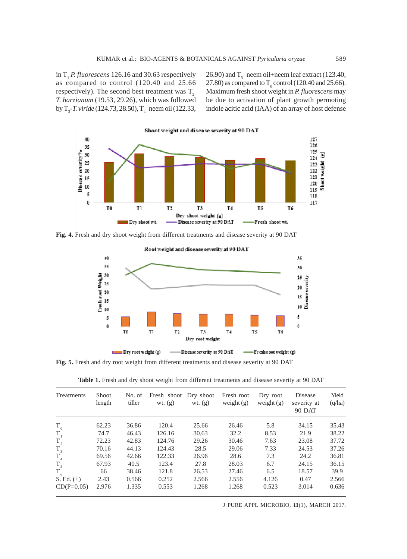in T<sub>1</sub>*P. fluorescens* 126.16 and 30.63 respectively as compared to control (120.40 and 25.66 respectively). The second best treatment was  $T_{2}$ *T. harzianum* (19.53, 29.26), which was followed by  $T_{3}$ -*T. viride* (124.73, 28.50),  $T_{4}$ -neem oil (122.33,

26.90) and  $T_s$ –neem oil+neem leaf extract (123.40, 27.80) as compared to  $T_0$  control (120.40 and 25.66). Maximum fresh shoot weight in *P. fluorescens* may be due to activation of plant growth permoting indole acitic acid (IAA) of an array of host defense



**Fig. 4.** Fresh and dry shoot weight from different treatments and disease severity at 90 DAT



**Fig. 5.** Fresh and dry root weight from different treatments and disease severity at 90 DAT

Table 1. Fresh and dry shoot weight from different treatments and disease severity at 90 DAT

| Treatments   | <b>Shoot</b><br>length | No. of<br>tiller | Fresh shoot Dry shoot<br>wt. $(g)$ | wt. $(g)$ | Fresh root<br>weight $(g)$ | Dry root<br>weight $(g)$ | Disease<br>severity at<br><b>90 DAT</b> | Yield<br>(q/ha) |
|--------------|------------------------|------------------|------------------------------------|-----------|----------------------------|--------------------------|-----------------------------------------|-----------------|
| $T_{0}$      | 62.23                  | 36.86            | 120.4                              | 25.66     | 26.46                      | 5.8                      | 34.15                                   | 35.43           |
| $T_{1}$      | 74.7                   | 46.43            | 126.16                             | 30.63     | 32.2                       | 8.53                     | 21.9                                    | 38.22           |
| $T_{2}$      | 72.23                  | 42.83            | 124.76                             | 29.26     | 30.46                      | 7.63                     | 23.08                                   | 37.72           |
| $T_{3}$      | 70.16                  | 44.13            | 124.43                             | 28.5      | 29.06                      | 7.33                     | 24.53                                   | 37.26           |
| $T_{4}$      | 69.56                  | 42.66            | 122.33                             | 26.96     | 28.6                       | 7.3                      | 24.2                                    | 36.81           |
| $T_{\rm s}$  | 67.93                  | 40.5             | 123.4                              | 27.8      | 28.03                      | 6.7                      | 24.15                                   | 36.15           |
| $T_{6}$      | 66                     | 38.46            | 121.8                              | 26.53     | 27.46                      | 6.5                      | 18.57                                   | 39.9            |
| $S. Ed. (+)$ | 2.43                   | 0.566            | 0.252                              | 2.566     | 2.556                      | 4.126                    | 0.47                                    | 2.566           |
| $CD(P=0.05)$ | 2.976                  | 1.335            | 0.553                              | 1.268     | 1.268                      | 0.523                    | 3.014                                   | 0.636           |

J PURE APPL MICROBIO*,* **11**(1), MARCH 2017.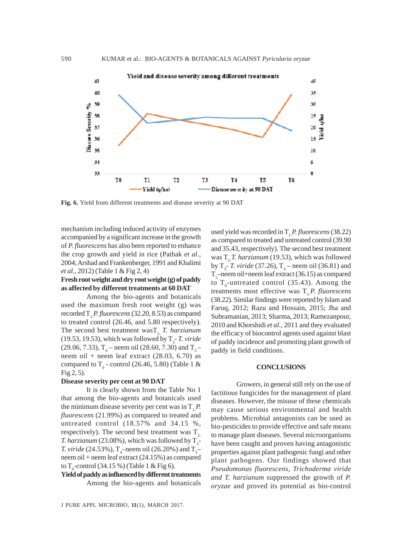

**Fig. 6.** Yield from different treatments and disease severity at 90 DAT

mechanism including induced activity of enzymes accompanied by a significant increase in the growth of *P. fluorescens* has also been reported to enhance the crop growth and yield in rice (Pathak *et al.,* 2004; Arshad and Frankenberger, 1991 and Khalimi *et al.*, 2012) (Table 1 & Fig 2, 4)

## **Fresh root weight and dry root weight (g) of paddy as affected by different treatments at 60 DAT**

Among the bio-agents and botanicals used the maximum fresh root weight (g) was recorded T<sub>1</sub>*P. fluorescens* (32.20, 8.53) as compared to treated control (26.46, and 5.80 respectively). The second best treatment wasT<sub>2</sub> *T. harzianum*  $(19.53, 19.53)$ , which was followed by  $T_3$ - *T. viride* (29.06, 7.33),  $T_4$  – neem oil (28.60, 7.30) and  $T_5$ – neem oil + neem leaf extract (28.03, 6.70) as compared to  $T_0$  - control (26.46, 5.80) (Table 1 & Fig 2, 5).

#### **Disease severity per cent at 90 DAT**

It is clearly shown from the Table No 1 that among the bio-agents and botanicals used the minimum disease severity per cent was in  $T<sub>1</sub>P$ . *fluorescens* (21.99%) as compared to treated and untreated control (18.57% and 34.15 %, respectively). The second best treatment was  $T_{2}$ *T. harzianum* (23.08%), which was followed by  $T_3$ -*T. viride* (24.53%),  $T_4$ –neem oil (26.20%) and  $T_5$ – neem oil + neem leaf extract (24.15%) as compared to  $T_0$ -control (34.15 %) (Table 1 & Fig 6).

**Yield of paddy as influenced by different treatments** Among the bio-agents and botanicals

used yield was recorded in T<sub>1</sub>P. fluorescens (38.22) as compared to treated and untreated control (39.90 and 35.43, respectively). The second best treatment was T<sub>2</sub>*T. harzianum* (19.53), which was followed by  $T_3$ - *T. viride* (37.26),  $T_4$  – neem oil (36.81) and  $T_{5}$ —neem oil+neem leaf extract (36.15) as compared to  $T_0$ -untreated control (35.43). Among the treatments most effective was T1-*P. fluorescens* (38.22). Similar findings were reported by Islam and Faruq, 2012; Razu and Hossain, 2015; Jha and Subramanian, 2013; Sharma, 2013; Ramezanpour, 2010 and Khorshidi *et al.,* 2011 and they evaluated the efficacy of biocontrol agents used against blast of paddy incidence and promoting plant growth of paddy in field conditions.

#### **CONCLUSIONS**

Growers, in general still rely on the use of factitious fungicides for the management of plant diseases. However, the misuse of these chemicals may cause serious environmental and health problems. Microbial antagonists can be used as bio-pesticides to provide effective and safe means to manage plant diseases. Several microorganisms have been caught and proven having antagonistic properties against plant pathogenic fungi and other plant pathogens. Our findings showed that *Pseudomonas fluorescens, Trichoderma viride and T. harzianum* suppressed the growth of *P. oryzae* and proved its potential as bio-control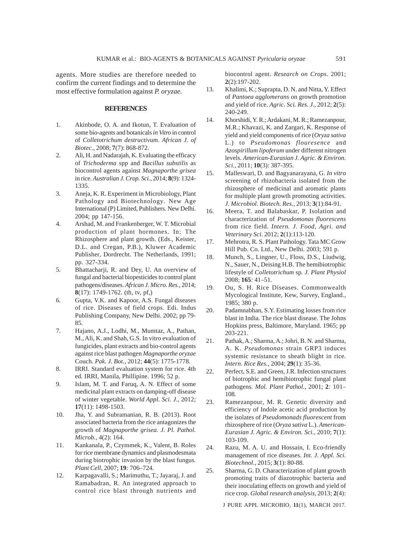agents. More studies are therefore needed to confirm the current findings and to determine the most effective formulation against *P. oryzae.*

#### **REFERENCES**

- 1. Akinbode, O. A. and Ikotun, T. Evaluation of some bio-agents and botanicals *in Vitro* in control of *Colletotrichum destructivum*. *African J. of Biotec.*, 2008; **7**(7): 868-872.
- 2. Ali, H. and Nadarajah, K. Evaluating the efficacy of *Trichoderma* spp and *Bacillus substilis* as biocontrol agents against *Magnaporthe grisea* in rice. *Australian J. Crop. Sci.,* 2014; **8**(9): 1324- 1335.
- 3. Aneja, K. R. Experiment in Microbiology, Plant Pathology and Biotechnology*.* New Age International (P) Limited, Publishers. New Delhi. 2004; pp 147-156.
- 4. Arshad, M. and Frankenberger, W. T. Microbial production of plant hormones. In: The Rhizosphere and plant growth. (Eds., Keister, D.L. and Cregan, P.B.), Kluwer Academic Publisher, Dordrecht. The Netherlands, 1991; pp. 327-334.
- 5. Bhattacharji, R. and Dey, U. An overview of fungal and bacterial biopesticides to control plant pathogens/diseases. *African J. Micro. Res.,* 2014; **8**(17): 1749-1762. (th, tv, pf,)
- 6. Gupta, V.K. and Kapoor, A.S. Fungal diseases of rice. Diseases of field crops. Edi. Indus Publishing Company, New Delhi. 2002; pp 79- 85.
- 7. Hajano, A.J., Lodhi, M., Mumtaz, A., Pathan, M., Ali, K. and Shah, G.S. In vitro evaluation of fungicides, plant extracts and bio-control agents against rice blast pathogen *Magnaporthe oryzae* Couch. *Pak. J. Bot.,* 2012; **44**(5): 1775-1778.
- 8. IRRI. Standard evaluation system for rice. 4th ed. IRRI, Manila, Phillipine. 1996; 52 p.
- 9. Islam, M. T. and Faruq, A. N. Effect of some medicinal plant extracts on damping-off disease of winter vegetable. *World Appl. Sci. J.,* 2012; **17**(11): 1498-1503.
- 10. Jha, Y. and Subramanian, R. B. (2013). Root associated bacteria from the rice antagonizes the growth of *Magnaporthe grisea*. *J. Pl. Pathol. Microb.,* 4(2): 164.
- 11. Kankanala, P., Czymmek, K., Valent, B. Roles for rice membrane dynamics and plasmodesmata during biotrophic invasion by the blast fungus*. Plant Cell,* 2007; **19***:* 706*–*724*.*
- 12. Karpagavalli, S.; Marimuthu, T.; Jayaraj, J. and Ramabadran, R. An integrated approach to control rice blast through nutrients and

biocontrol agent. *Research on Crops.* 2001; **2**(2):197-202.

- 13. Khalimi, K.; Suprapta, D. N. and Nitta, Y. Effect of *Pantoea agglomerans* on growth promotion and yield of rice. *Agric. Sci. Res. J.*, 2012; **2**(5): 240-249.
- 14. Khorshidi, Y. R.; Ardakani, M. R.; Ramezanpour, M.R.; Khavazi, K. and Zargari, K. Response of yield and yield components of rice (*Oryza sativa* L.) to *Pseudomonas flouresence* and *Azospirillum lipoferum* under different nitrogen levels. *American-Eurasian J. Agric. & Environ. Sci.,* 2011; **10**(3): 387-395.
- 15. Malleswari, D. and Bagyanarayana, G. *In vitro* screening of rhizobacteria isolated from the rhizosphere of medicinal and aromatic plants for multiple plant growth promoting activities. *J. Microbiol. Biotech. Res.*, 2013; **3**(1):84-91.
- 16. Meera, T. and Balabaskar, P. Isolation and characterization of *Pseudomonas fluorescens* from rice field. *Intern. J. Food, Agri. and Veterinary Sci.* 2012; **2**(1):113-120.
- 17. Mehrotra, R. S. Plant Pathology. Tata MC Grow Hill Pub. Co. Ltd., New Delhi. 2003; 591 p.
- 18. Munch, S., Lingner, U., Floss, D.S., Liudwig, N., Sauer, N., Deising H.B. The hemibiotrophic lifestyle of *Colletotrichum* sp*. J. Plant Physiol* 2008; **165***:* 41*–*51*.*
- 19. Ou, S. H. Rice Diseases. Commonwealth Mycological Institute, Kew, Survey, England., 1985; 380 p.
- 20. Padamnabhan, S.Y. Estimating losses from rice blast in India. The rice blast disease. The Johns Hopkins press, Baltimore, Maryland. 1965; pp 203-221.
- 21. Pathak, A.; Sharma, A.; Johri, B. N. and Sharma, A. K. *Pseudomonas* strain GRP3 induces systemic resistance to sheath blight in rice. *Intern. Rice Res.,* 2004; **29**(1): 35-36.
- 22. Perfect, S.E. and Green, J.R. Infection structures of biotrophic and hemibiotrophic fungal plant pathogens*. Mol. Plant Pathol.,* 2001; **2***:* 101*–* 108*.*
- 23. Ramezanpour, M. R. Genetic diversity and efficiency of Indole acetic acid production by the isolates of *Pseudomonads fluorescent* from rhizosphere of rice (*Oryza sativa* L.). *American-Eurasian J. Agric. & Environ. Sci.,* 2010; **7**(1): 103-109.
- 24. Razu, M. A. U. and Hossain, I. Eco-friendly management of rice diseases. *Int. J. Appl. Sci. Biotechnol*., 2015; **3**(1): 80-88.
- 25. Sharma, G. D. Characterization of plant growth promoting traits of diazotrophic bacteria and their inoculating effects on growth and yield of rice crop. *Global research analysis*, 2013; **2**(4):

J PURE APPL MICROBIO*,* **11**(1), MARCH 2017.